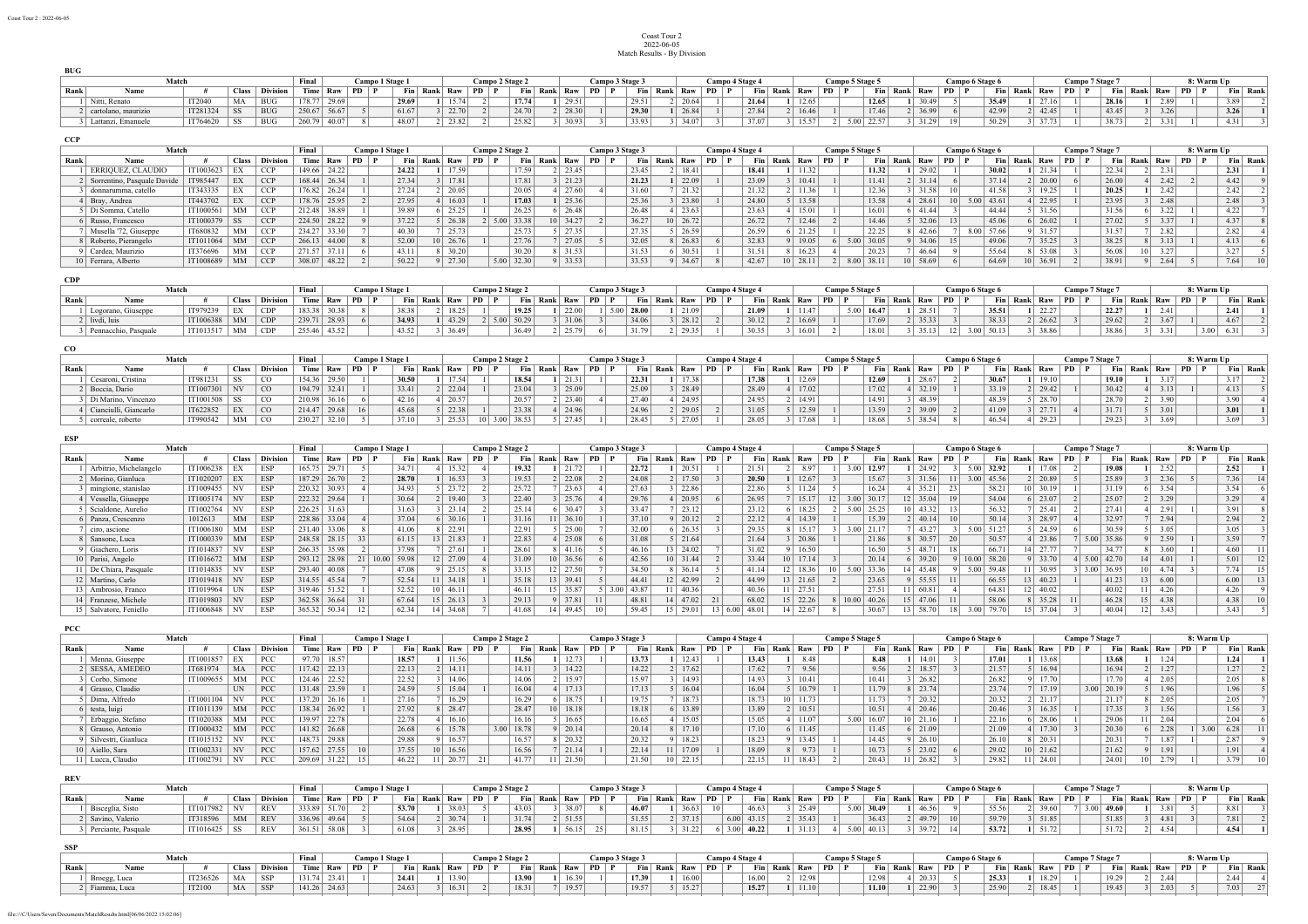## Coast Tour 2 2022-06-05 Match Results - By Division

|      | Match               | Final    |              | Camp       | ) 1 Stage    |       |          |       | Campo 2 Stage 2 |                     |          | Campo 3 Stage 3 |              |       | <b>Campo 4 Stage 4</b> |              |       | Campo 5 Stage 5 |       |                   |                     | Campo 6 Stage |       | Campo 7 Stage |       |                     |          | <b>8: Warm Up</b>  |                    |            |  |          |  |
|------|---------------------|----------|--------------|------------|--------------|-------|----------|-------|-----------------|---------------------|----------|-----------------|--------------|-------|------------------------|--------------|-------|-----------------|-------|-------------------|---------------------|---------------|-------|---------------|-------|---------------------|----------|--------------------|--------------------|------------|--|----------|--|
| Rank | Name                |          | <b>Class</b> | Division   | Time Raw     |       | $PD$ $P$ |       | Fin Rank Raw    |                     | $PD$ $P$ |                 | Fin Rank Raw |       | PD.                    | Fin Rank Raw |       | PD P            |       | Fin Rank Raw PD F |                     | Fin Rank      | Raw   | PD            |       | Fin Rank Raw        | $PD$ $P$ |                    | $\n  Fin$ Rank Raw |            |  | Fin Rank |  |
|      | Nitti, Renato       | IT2040   | MA           | <b>BUG</b> | 1/8.77       | 29.69 |          | 29.69 |                 | 15.74               |          | 17.74           |              | 29.51 |                        | 29.51        | 20.64 |                 | 21.64 | 12.65             | 12.65               |               |       |               | 35.49 | 22.5<br>27.16       |          | 28.16              |                    | 2.89       |  | 3.89     |  |
|      | cartolano, maurizio | IT281324 | SS:          | <b>BUG</b> | 250.67 56.67 |       |          | 61.67 |                 | $3 \mid 22.70 \mid$ |          | 24.70           |              | 28.30 |                        | 29.30        | 26.84 |                 | 27.84 | 16.46             | 17.46               |               | 36.99 |               | 42.99 | 42.45               |          | 43.45              |                    | 3.26       |  | 3.26     |  |
|      | Lattanzi, Emanuele  | IT764620 | ' SS         | <b>BUG</b> | 260.79       | 40.07 |          | 48.07 |                 | 23.82               |          | 25.82           |              | 30.93 |                        | 33.93        | 34.07 |                 | 37.07 | 15.57             | 5.00 22.57<br>ن. عد |               | 21,20 |               | 50.29 | $5 \mid 37.73 \mid$ |          | 20.72<br><b>AX</b> |                    | 331<br>--- |  | 4.31     |  |

**CCP**

**BUG**

|      | Match                           | Final     |           |                  | Campo 1 Stage 1 |       |    | Campo 2 Stage 2 |          |                     |      | Campo 3 Stage 3 |              |       | Campo 4 Stage 4 |          |                      |  | Campo 5 Stage 5 |       |    |            | Campo 6 Stage 6 |       |                 |                        | Campo 7 Stage 7 |       |     | 8: Warm Up |      |      |    |          |  |
|------|---------------------------------|-----------|-----------|------------------|-----------------|-------|----|-----------------|----------|---------------------|------|-----------------|--------------|-------|-----------------|----------|----------------------|--|-----------------|-------|----|------------|-----------------|-------|-----------------|------------------------|-----------------|-------|-----|------------|------|------|----|----------|--|
| Rank | Name                            |           |           | Class Division   | Time            | Raw   | PD |                 | Fin Rank | Raw                 |      |                 | Fin Rank Raw |       |                 | Fin Rank | . Raw                |  | Fin Rank        | Raw   | PD |            | Fin Rank        | Raw   | PD              |                        | Fin Rank        | . Raw | PD. | Fin        | Rank | Raw  | PD | Fin Rank |  |
|      | ERRIQUEZ, CLAUDIO               | IT1003623 |           | CCF              | 149.66          | 24.22 |    |                 | 24.22    | 17.59               |      | 17.59           |              | 23.45 | 23.45           |          | 18.41                |  | 18.41           | 11.32 |    |            | 11.32           | 29.02 |                 |                        | 30.02           |       |     | 22.34      |      |      |    | 2.31     |  |
|      | 2 Sorrentino, Pasquale Davide   | IT985447  |           | CC               | $168.44$ 26.34  |       |    |                 | 27.34    | 17.81               |      | 17.81           |              | 21.23 | 21.23           |          | 22.09                |  | 23.09           | 10.41 |    |            | 11.41           | 31.14 |                 |                        | 37.14           | 20.00 |     | 26.00      |      | 2.42 |    | 4.42     |  |
|      | donnarumma, catello             | IT343335  |           | <b>CCI</b>       | 176.82 26.24    |       |    |                 | 27.24    | 2   20.05           |      | 20.05           |              | 27.60 | 31.60           |          | 21.32                |  | 21.32           | 11.36 |    |            | 12.36           | 31.58 |                 |                        | 41.58           | 19.25 |     | 20.25      |      | 2.42 |    | 2.42     |  |
|      | Bray, Andrea                    | IT443702  |           | CCP              | 178.76 25.95    |       |    |                 | 27.95    | 16.03               |      | 17.03           |              | 25.36 | 25.36           |          | 23.80                |  | 24.80           | 13.58 |    |            | 13.58           | 28.61 |                 | $5.00 \mid 43.61 \mid$ |                 | 22.95 |     | 23.95      |      | 2.48 |    | 2.48     |  |
|      | Di Somma, Catello               | IT1000561 |           | CC.              | 212.48          | 38.89 |    |                 | 39.89    | 25.25               |      | 26.25           |              | 26.48 | 26.48           |          | 23.63                |  | 23.63           | 15.01 |    |            | 16.01           | 41.44 |                 |                        | 44.44           | 31.56 |     | 31.56      |      | 3.44 |    | 4.22     |  |
|      | 6 Russo, Francesco              | IT1000379 | <b>SS</b> | <b>CCI</b>       | 224.50          | 28.22 |    |                 | 37.22    | $5 \mid 26.38$      | 5.00 | 33.38           |              | 34.27 | 36.27           |          | $10 \mid 26.72 \mid$ |  | 26.72           | 12.46 |    |            | 14.46           | 32.06 | 13 <sup>1</sup> |                        | 45.06           | 26.02 |     | 27.02      |      | 3.37 |    | 4.37     |  |
|      | Musella '72, Giuseppe           | IT680832  | MМ        | CCI <sup>-</sup> | 234.27          | 33.30 |    |                 | 40.30    | 25.73               |      | 25.73           |              | 27.35 | 27.35           |          | 26.59                |  | 26.59           | 21.25 |    |            | 22.25           | 42.66 |                 | 8.00 57.66             |                 |       |     | 31.57      |      | 2.82 |    | 2.82     |  |
|      | Roberto, Pierangelo             | IT1011064 | MM        | CC               | 266.13          | 44.00 |    |                 | 52.00    | 10 26.76            |      | 27.76           |              | 27.05 | 32.05           |          | 26.83                |  | 32.83           | 19.05 |    | 5.00 30.05 |                 | 34.06 |                 |                        | 49.06           | 35.25 |     | 38.25      |      | 3.13 |    | 4.13     |  |
|      | Cardea, Maurizio                | IT376696  |           | CC               | 271.57          |       |    |                 | 43.11    | 8 30.20             |      | 30.20           |              | 31.53 | 31.53           |          | 30.51                |  | 31.51           | 16.23 |    |            | 20.23           | 46.64 |                 |                        | 55.64           | 53.08 |     | 56.08      |      | 3.27 |    | 3.27     |  |
|      | <sup>1</sup> 0 Ferrara, Alberto | IT1008689 | MМ        | CCF              | 308.07          | 48.22 |    |                 | 50.22    | $9 \mid 27.30 \mid$ |      | $5.00$ 32.30    |              | 33.53 | 33.53           |          | 34.67                |  | 42.67           | 28.11 |    | 8.00 38.11 |                 | 58.69 |                 |                        | 64.69           | 36.91 |     | 38.91      |      | 2.64 |    | 7.64     |  |

**CDP**

|      |                      |              |    | Campo 1 Stage 1       |               |       |      | Campo 2 Stage 2 |          |           | Campo | 3 Stage 3    |       | Campo    | n 4 Stage. |                |                |       | Campo 5 Stage 5 |       |    | Campo 6 Stage 6 |          |       |            | Campo 7 Stage 7 |          |                  |            | 8: Warm Up |      |          |      |          |  |
|------|----------------------|--------------|----|-----------------------|---------------|-------|------|-----------------|----------|-----------|-------|--------------|-------|----------|------------|----------------|----------------|-------|-----------------|-------|----|-----------------|----------|-------|------------|-----------------|----------|------------------|------------|------------|------|----------|------|----------|--|
| Rank |                      |              |    | <b>Class</b> Division | Time Raw      |       | $PD$ |                 | Fin Rank | Raw       | PD    | Fin Rank Raw |       | $PD$ $P$ |            | Fin Rank Raw   | P <sub>D</sub> |       | Fin Rank        | Raw   | PD |                 | Fin Rank | Raw   | $PD$   $P$ |                 | Fin Rank | Raw              | $PD$   $P$ | Fin Rank   | Raw  | $PD$ $P$ |      | Fin Rank |  |
|      | Logorano, Giuseppe   | IT979239     |    | CDP                   | $18338$ 30 38 |       |      | 38 38 1         |          | 2   18.25 |       | 19.25        | 22.00 |          | 28.00      | 21.09          |                | 21.09 |                 | 11.47 |    | $5.00$   16.47  |          | 28.51 |            |                 | 35.51    | 222<br>ه عدد عدد |            | 22.27      |      |          |      | 2.41     |  |
|      | livdi, luis          | IT1006388 MM |    | $\Box$                | 239.71 28.93  |       |      | 34.93           |          | 43.29     |       | $5.00$ 50.29 | 31.06 |          | 34.06      | $3 \mid 28.12$ |                | 30.12 |                 | 16.69 |    |                 | 17.69    | 35.33 |            |                 | 38.33    | 26.62            |            | 29.62      | 3.67 |          |      | 4.67     |  |
|      | Pennacchio, Pasquale | IT1013517    | MM | CDP                   | 255.46        | 43.52 |      | 43.52           |          | 36.49     |       | 36.49        | 25.79 |          | 31.79      | 29.35          |                | 30.35 |                 | 16.01 |    |                 | 18.01    | 35.13 |            | $3.00$ 50.13    |          | 38.86            |            | 38.86      | 3.31 |          | 3.00 |          |  |

| $_{\rm CO}$ |                       |           |              |                 |              |              |                 |       |              |                 |       |              |           |                 |              |        |  |                 |          |            |    |                 |          |       |                        |       |              |           |                 |        |      |            |          |  |
|-------------|-----------------------|-----------|--------------|-----------------|--------------|--------------|-----------------|-------|--------------|-----------------|-------|--------------|-----------|-----------------|--------------|--------|--|-----------------|----------|------------|----|-----------------|----------|-------|------------------------|-------|--------------|-----------|-----------------|--------|------|------------|----------|--|
|             | Match                 |           |              |                 | Final        |              | Campo 1 Stage 1 |       |              | Campo 2 Stage 2 |       |              |           | Campo 3 Stage 3 |              |        |  | Campo 4 Stage 4 |          |            |    | Campo 5 Stage 5 |          |       | <b>Campo 6 Stage 6</b> |       |              |           | Campo 7 Stage 7 |        |      | 8: Warm Up |          |  |
| Rank        | Name                  |           | <b>Class</b> | <b>Division</b> |              | Time Raw     | <b>PD</b>       |       | Fin Rank Raw | <b>PD</b>       |       | Fin Rank Raw |           | PD              | Fin Rank Raw |        |  |                 | Fin Rank | $\sim$ Raw | PD | Fin             | Rank Raw |       | $PD$   $P$             |       | Fin Rank Raw | <b>PD</b> | Fin Rank        |        | Raw  | PD         | Fin Rank |  |
|             | Cesaroni, Cristina    | IT981231  | SS           | <sub>CO</sub>   |              | 154.36 29.50 |                 | 30.50 | 17.54        |                 | 18.54 |              | 21.31     |                 | 22.31        | 17.38  |  | 17.38           |          | 12.69      |    | 12.69           |          | 28.67 |                        | 30.67 | 19.10        |           | 19.10           |        | 3.17 |            | 3.17     |  |
|             | Boccia, Dario         | IT1007301 | NV           | <sub>c</sub> o  |              | 194.79 32.41 |                 | 33.41 | 22.04        |                 | 23.04 |              | 25.09     |                 | 25.09        | 128.49 |  | 28.49           |          | 17.02      |    | 17.02           |          | 32.19 |                        | 33.19 | 29.42        |           |                 |        | 3.13 |            | 4.13     |  |
|             | Di Marino. Vincenzo   | IT1001508 |              | <sub>CO</sub>   |              | 210.98 36.16 |                 | 42.16 | 20.57        |                 | 20.57 |              | 2   23.40 |                 | 27.40        | 24.95  |  | 24.95           |          | 14.91      |    | 14.91           |          | 48.39 |                        | 48.39 | 28.70        |           | 28.70           | 2 3.90 |      |            | 3.90     |  |
|             | Cianciulli, Giancarlo | IT622852  |              | $ $ CO          |              | 214.47 29.68 |                 | 45.68 | 22.38        |                 | 23.38 |              | 24.96     |                 | 24.96        | 29.05  |  | 31.05           |          | 12.59      |    | 13.59           |          | 39.09 |                        | 41.09 | 2771<br>21.  |           | 31.71           |        | 3.01 |            | 3.01     |  |
|             | correale, roberto     | IT990542  | MM           | $\overline{C}$  | 230.27 32.10 |              |                 | 37.10 | 25.53        | 10              | 38.53 |              | 27.45     |                 | 28.45        | 27.05  |  | 28.05           |          | 17.68      |    | 18.68           |          | 38.54 |                        | 46.54 | 29.23        |           | 29.23           |        |      |            | 3.69     |  |

| <b>ESP</b> |                        |           |              |                 |        |              |            |                 |       |                 |       |                 |       |          |            |    |                 |       |      |          |      |                 |                 |            |      |                    |          |           |                 |                   |       |                |                 |      |              |      |               |            |          |
|------------|------------------------|-----------|--------------|-----------------|--------|--------------|------------|-----------------|-------|-----------------|-------|-----------------|-------|----------|------------|----|-----------------|-------|------|----------|------|-----------------|-----------------|------------|------|--------------------|----------|-----------|-----------------|-------------------|-------|----------------|-----------------|------|--------------|------|---------------|------------|----------|
|            | Match                  |           |              |                 | Final  |              |            | Campo 1 Stage 1 |       |                 |       | Campo 2 Stage 2 |       |          |            |    | Campo 3 Stage 3 |       |      |          |      | Campo 4 Stage 4 |                 |            |      | Campo 5 Stage 5    |          |           |                 | Campo 6 Stage 6   |       |                | Campo 7 Stage 7 |      |              |      |               | 8: Warm Up |          |
| Rank       | Name                   |           | <b>Class</b> | <b>Division</b> | Time   | Raw          | PD.        |                 | Fin   | Rank            | . Raw | PD.             |       | Fin Rank | Raw        | PD |                 | Fin   | Rank | ∧⊺ Raw   | -PD. |                 | Fin Rank        | <b>Raw</b> | PD.  |                    | Fin Rank | Raw       | PD.             |                   | Fin   | Rank<br>Raw    |                 |      | Fin          | Rank | Raw           |            | Fin Rank |
|            | Arbitrio, Michelangelo | IT1006238 |              | ESP             | 165.75 | 29.71        |            |                 | 34.71 |                 | 15.32 |                 | 19.32 |          | 21.72      |    |                 | 22.72 |      | 20.5!    |      | 21.51           |                 | 8.97       | 3.00 | 12.97              |          | 24.92     |                 | 32.92<br>5.00.    |       | 17.08          |                 |      | 19.08        |      | 252<br>ے بہ د | 2.52       |          |
|            | Morino, Gianluca       | IT1020207 |              | <b>ESP</b>      | 187.29 | 26.70        |            |                 | 28.70 |                 | 16.53 |                 | 19.53 |          | 2   22.08  |    |                 | 24.08 |      | 17.50    |      | 20.50           |                 | 12.67      |      | 15.67              |          | 31.56     |                 | $3.00 \mid 45.56$ |       | $2 \mid 20.89$ |                 |      | 25.89        |      | 2.36          | 7.36       |          |
|            | mingione, stanislao    | IT1009455 |              | ESP             | 220.32 | 30.93        |            |                 | 34.93 |                 | 23.72 |                 | 25.72 |          | 23.63      |    |                 | 27.63 |      | 22.86    |      | 22.86           |                 | 11.24      |      | 16.24              |          | 35.21     | $-23$           | 58.21             |       | $0 \mid 30.19$ |                 |      | 31.19        |      | 3.54          | 3.54       |          |
|            | Vessella, Giuseppe     | IT1005174 |              | <b>ESP</b>      |        | 222.32 29.64 |            |                 | 30.64 |                 | 19.40 |                 | 22.40 |          | 25.76      |    |                 | 29.76 |      | 20.95    |      | 26.95           |                 | 15.17      | 3.00 | 30.17              |          | 35.04     |                 | 54.04             |       | $6 \mid 23.07$ |                 |      | 25.07        |      | 2.20<br>3.29  | 3.29       |          |
|            | Scialdone, Aurelio     | IT1002764 |              | <b>ESP</b>      | 226.25 | 31.63        |            |                 | 31.63 |                 | 23.14 |                 | 25.14 |          | 30.47      |    |                 | 33.47 |      | 23.12    |      | 23.12           |                 | 18.25      |      | 25.25<br>5.00      |          | 43.32     |                 |                   | 56.32 | 25.41          |                 |      | 27.41        |      | 2.91          | 3.91       |          |
|            | 6 Panza, Crescenzo     | 1012613   | MM           | <b>ESP</b>      | 228.86 | 33.04        |            |                 | 37.04 |                 | 30.16 |                 | 31.16 |          | 36.10      |    |                 | 37.10 |      | 20.12    |      | 22.12           |                 | 14.39      |      | 15.39              |          | 2   40.14 |                 |                   | 50.14 | 28.97          |                 |      | 32.97        |      | 2.94          | 2.94       |          |
|            | ciro, ascione          | IT1006180 | MМ           | ESP             | 231.40 | 33.06        |            |                 | 41.06 |                 | 22.91 |                 | 22.91 |          | 25.00      |    |                 | 32.00 |      | 26.35    |      | 29.35           |                 | 15.17      |      | 21.17<br>$3.00 +$  |          | 43.27     |                 | 51.27<br>5.00     |       | 24.59          |                 |      | 30.59        |      |               | 3.05       |          |
|            | Sansone, Luca          | IT1000339 | MM           | <b>ESP</b>      | 248.58 | 28.15        |            |                 | 61.15 | 13 21.83        |       |                 | 22.83 |          | 25.08      |    |                 | 31.08 |      | 21.64    |      | 21.64           |                 | 20.86      |      | 21.86              |          | 8 30.57   | -20             | 50.57             |       | 23.86          |                 | 5.00 | 35.86        |      | 2.59          | 3.59       |          |
|            | Giachero, Loris        | IT1014837 | ΝV           | <b>ESP</b>      | 266.35 | 35.98        |            |                 | 37.98 |                 | 27.61 |                 | 28.61 |          | 41.16      |    |                 | 46.16 |      | 24.02    |      | 31.02           |                 | 16.50      |      | 16.50              |          | 48.71     | 18              | 66.71             |       | $+21.71+$      |                 |      | 34.77        |      | 3.60          | 4.60       |          |
|            | 10 Parisi, Angelo      | IT1016672 | MM           | ESP             | 293.12 | 28.98        |            | 10.00           | 59.98 | 12 27.09        |       |                 | 31.09 |          | 36.56      |    |                 | 42.56 |      | 31.44    |      | 33.44           | 10 17.14        |            |      | 20.14              |          | 39.20     |                 | 58.20<br>10.00    |       | 33.70          |                 |      | $5.00$ 42.70 |      | 4.01          | 5.01       |          |
|            | De Chiara, Pasquale    | IT1014835 |              | <b>ESP</b>      | 293.40 | 40.08        |            |                 | 47.08 |                 | 25.15 |                 | 33.15 |          | 27.50      |    |                 | 34.50 |      | 36.14    |      | 41.14           |                 | 18.36      |      | 33.36<br>5.00.     |          | 45.48     |                 | 59.48<br>5.00     |       | 30.95          |                 | 3.00 | 36.95        |      |               | 7.74       |          |
|            | 12 Martino, Carlo      | IT1019418 | <b>NV</b>    | <b>ESP</b>      |        | 314.55 45.54 |            |                 | 52.54 | $11 \mid 34.18$ |       |                 | 35.18 |          | 13   39.41 |    |                 | 44.41 |      | 12 42.99 |      | 44.99           | $13 \mid 21.65$ |            |      | 23.65              |          | 55.55     |                 |                   | 66.55 | 3   40.23      |                 |      | 41.23        |      | 6.00          | 6.00       |          |
|            | 13   Ambrosio. Franco  | IT1019964 |              | ESP             | 319.46 | 51.52        |            |                 | 52.52 | 10   46.11      |       |                 | 46.11 |          | 15 35.87   |    | 3.00            | 43.87 |      | 40.36    |      | 40.36           |                 | 27.51      |      | 27.51              |          | 60.81     |                 | 64.81             |       | 40.02          |                 |      | 40.02        |      | 4.26          | 4.26       |          |
|            | 14 Franzese, Michele   | IT1019803 | <b>NV</b>    | <b>ESP</b>      | 362.58 |              | $36.64$ 31 |                 | 67.64 | $15 \mid 26.13$ |       |                 | 29.13 |          | 37.81      |    |                 | 48.81 |      | 14 47.02 |      | 68.02           | 15 22.26        |            |      | $10.00 \mid 40.26$ |          | 15 47.06  |                 | 58.06             |       | 35.28          |                 |      | 46.28        |      | 4.38          | 4.38       |          |
|            | 15 Salvatore, Feniello | IT1006848 |              | <b>ESP</b>      | 365.32 | 50.34        |            |                 | 62.34 | 4               | 34.68 |                 | 41.68 |          | 14 49.45   |    |                 | 59.45 |      | 29.01    | 6.00 | 48.01           |                 | 22.67      |      | 30.67              |          | 58.70     | 18 <sup>1</sup> | 3.00              |       | 15   37.04     |                 |      | 40.04        | 12   | 3.43          | 3.43       |          |

| PCC  |                     |           |              |                 |        |              |     |                 |          |                |                 |            |          |       |                 |       |              |                        |       |      |                  |                 |            |              |       |    |                        |              |       |           |                 |       |                 |            |            |      |          |
|------|---------------------|-----------|--------------|-----------------|--------|--------------|-----|-----------------|----------|----------------|-----------------|------------|----------|-------|-----------------|-------|--------------|------------------------|-------|------|------------------|-----------------|------------|--------------|-------|----|------------------------|--------------|-------|-----------|-----------------|-------|-----------------|------------|------------|------|----------|
|      |                     | Match     |              |                 | Final  |              |     | Campo 1 Stage 1 |          |                | Campo 2 Stage 2 |            |          |       | Campo 3 Stage 3 |       |              | <b>Campo 4 Stage 4</b> |       |      |                  | Campo 5 Stage 5 |            |              |       |    | <b>Campo 6 Stage 6</b> |              |       |           | Campo 7 Stage 7 |       |                 |            | 8: Warm Up |      |          |
| Rank | Name                |           | <b>Class</b> | <b>Division</b> | Time'  | Raw          | PD. |                 | Fin Rank | Raw            |                 |            | Fin Rank | Raw   | <b>PD</b>       |       | Fin Rank Raw | ⊢ PD                   | Fin.  |      | Rank Raw         | PD              |            | Fin Rank Raw |       | PD |                        | Fin Rank Raw |       | <b>PD</b> |                 | Fin   | Rank            | <b>Raw</b> | $PD$ $P$   |      | Fin Rank |
|      | Menna, Giuseppe     | IT1001857 | EΛ           | PCC             | 97.70  | 18.57        |     |                 | 18.57    | 11.56          |                 | 11.56      |          |       |                 | 13.73 | 12.43        |                        | 13.43 |      | 848              |                 | 8.48       |              | 14.01 |    | 17.01                  |              | 13.68 |           |                 | 13.68 |                 | 1.24       |            | 1.24 |          |
|      | SESSA. AMEDEO       | IT681974  | MA           | <b>PCC</b>      | 117.42 | 22.13        |     |                 | 22.13    | 14.11          |                 | 14.11      |          | 14.22 |                 | 14.22 | 17.62        |                        | 17.62 |      | 9.56             |                 | 9.56       |              | 18.57 |    | 21.57                  |              | 16.94 |           |                 | 16.94 |                 | 1.27       |            | 1.27 |          |
|      | Corbo, Simone       | IT1009655 | MM           | PCC             | 124.46 | 22.52        |     |                 | 22.52    | 14.06          |                 | 14.06      |          | 15.97 |                 | 15.97 | 14.93        |                        | 14.93 |      | 10.41            |                 | 10.41      |              | 26.82 |    | 26.82                  |              | 17.70 |           |                 | 17.70 |                 | 2.05       |            | 2.05 |          |
|      | Grasso, Claudio     |           | UN           | PCC             | 131.48 | 23.59        |     |                 | 24.59    | 15.04          |                 | 16.04      |          | 17.13 |                 | 17.13 | 16.04        |                        | 16.04 |      | 10.79            |                 | 11.79      |              | 23.74 |    | 23.74                  |              | 17.19 |           | 3.00 20.19      |       |                 | 1.96       |            | 1.96 |          |
|      | Dima. Alfredo       | IT100110  |              | <b>PCC</b>      | 137.20 | 26.16        |     |                 | 27.16    | 16.29          |                 | 16.29      |          | 18.75 |                 | 19.75 | 18.73        |                        | 18.73 | IU I | 11.72<br>- 11.73 |                 | 11.73      |              | 20.32 |    | 20.32                  |              | 21.17 |           |                 | 21.17 |                 | 2.05       |            | 2.05 |          |
|      | testa, luigi        | IT1011139 | MM           | PCC             |        | 138.34 26.92 |     |                 | 27.92    | 28.47          |                 | 28.47      |          | 18.18 |                 | 18.18 | 13.89        |                        | 13.89 |      | 10.51            |                 | 10.51      |              | 20.46 |    | 20.46                  |              | 16.35 |           |                 | 17.35 |                 | 1.56       |            | 1.56 |          |
|      | Erbaggio, Stefano   | IT1020388 | MМ           | <b>PCC</b>      | 139.97 | 22.78        |     |                 | 22.78    | 16.16          |                 | 16.16      |          | 16.65 |                 | 16.65 | 15.05        |                        | 15.05 |      | 11.07            |                 | 5.00 16.07 |              | 21.16 |    | 22.16                  |              | 28.06 |           |                 | 29.06 |                 | 2.04       |            | 2.04 |          |
|      | Grauso, Antonio     | IT1000432 | MM           | <b>PCC</b>      |        | 141.82 26.68 |     |                 | 26.68    | 15.78          |                 | 3.00 18.78 |          | 20.14 |                 | 20.14 | 17.10        |                        | 17.10 |      | 11.45            |                 | 11.45      |              | 21.09 |    | 21.09                  |              | 17.30 |           |                 | 20.30 |                 | 2.28       | 3.00       |      |          |
|      | Silvestri, Gianluca | IT1015152 | NV           | <b>PCC</b>      | 148.73 | 29.88        |     |                 | 29.88    | 16.57          |                 | 16.57      |          | 20.32 |                 | 20.32 | 18.23        |                        | 18.23 |      | 13.45            |                 | 14.45      |              | 26.10 |    | 26.10                  |              | 20.31 |           |                 | 20.31 |                 | 1.87       |            | 2.87 |          |
|      | 10 Aiello, Sara     | IT1002331 | NV.          | <b>PCC</b>      | 157.62 | 27.55        | -10 |                 | 37.55    | 10   16.56     |                 | 16.56      |          | 21.14 |                 | 22.14 | $11$ 17.09   |                        | 18.09 |      | 9.73             |                 | 10.73      |              | 23.02 |    | 29.02                  |              | 21.62 |           |                 | 21.62 |                 | 1.91       |            | 1.91 |          |
|      | 11 Lucca, Claudio   | IT1002791 | NV           | <b>PCC</b>      | 209.69 | 31.22        |     |                 | 46.22    | $20.7^{\circ}$ |                 | 41.77      |          |       |                 | 21.50 | 22.15        |                        | 22.15 |      | 18.43            |                 | 20.43      |              | 26.82 |    | 29.82                  |              | 24.0  |           |                 | 24.01 | 10 <sup>1</sup> | 2.19       |            | 3.79 |          |

| REV  |                     |                |        |                       |              |              |                |                 |              |                |                 |       |              |       |          |                 |                   |  |                        |       |                |                 |                              |              |       |                    |                 |                   |                 |       |      |                   |      |          |
|------|---------------------|----------------|--------|-----------------------|--------------|--------------|----------------|-----------------|--------------|----------------|-----------------|-------|--------------|-------|----------|-----------------|-------------------|--|------------------------|-------|----------------|-----------------|------------------------------|--------------|-------|--------------------|-----------------|-------------------|-----------------|-------|------|-------------------|------|----------|
|      | Match               |                |        |                       | Final        |              |                | Campo 1 Stage 1 |              |                | Campo 2 Stage 2 |       |              |       |          | Campo 3 Stage 3 |                   |  | <b>Campo 4 Stage 4</b> |       |                | Campo 5 Stage 5 |                              |              |       |                    | Campo 6 Stage 6 |                   | Campo 7 Stage 7 |       |      | 8: Warm Up        |      |          |
| Rank | Name                |                |        | <b>Class</b> Division |              | Time Raw     | P <sub>D</sub> |                 | Fin Rank Raw |                |                 |       | Fin Rank Raw |       | $PD$ $P$ |                 | Fin Rank Raw PD 1 |  | Fin Rank Raw           |       | P <sub>D</sub> |                 |                              | Fin Rank Raw |       | $\lambda$   PD   P |                 | Fin Rank Raw PD P |                 |       |      | Fin Rank Raw PD P |      | Fin Rank |
|      | Bisceglia, Sisto    | IT1017982      |        | REV                   | 333.89       | 51.70        |                |                 | 53.70        | 138.03         |                 | 43.03 |              | 38.07 |          | 46.07           | 36.63             |  | 46.63                  | 25.49 |                | 5 N.O           | 30.49                        |              | 46.56 |                    | 55.56           | 39.60             |                 | 49.60 | 3.81 |                   | 8.81 |          |
|      | Savino, Valerio     | IT318596       | MM REV |                       | 336.96 49.64 |              |                |                 | 54.64        | $2 \mid 30.74$ |                 | 31.74 |              | 51.55 |          | 51.55           | 37.15             |  | $6.00$ 43.15           | 35.43 |                |                 | 36.43                        |              | 49.79 | 10                 | 59.79           | 51.85             |                 | 51.85 | 4.81 |                   | 7.81 |          |
|      | Perciante, Pasquale | $IT1016425$ SS |        | <b>REV</b>            |              | 361.51 58.08 |                |                 | 61.08        | 28.95          |                 | 28.95 |              | 56.15 |          | 81.15           | 31.22             |  | $3.00$ 40.22           | 31.13 |                |                 | $5.00 \,   \, 40.13 \,   \,$ |              | 39.72 | 14                 | 53.72           | $1 \quad 51.72$   |                 | 51.72 | 4.54 |                   | 4.54 |          |

**SSP**

| Match |              |          |    |                  |        |                | Camu | o 1 Stage |       |                   | Campo 2 Stage 2   |       |                   | Campo 3 Stage 3 |       | Campo 4 Stage 4   |       |                   | <b>Campo 5 Stage 5</b> |       |                   | <b>Campo 6 Stage 6</b> |                   | Campo 7 Stage 7 |       |          | 8: Warm Un        |          |    |
|-------|--------------|----------|----|------------------|--------|----------------|------|-----------|-------|-------------------|-------------------|-------|-------------------|-----------------|-------|-------------------|-------|-------------------|------------------------|-------|-------------------|------------------------|-------------------|-----------------|-------|----------|-------------------|----------|----|
| Rank  | Name         |          |    | <b>Division</b>  |        | Time Raw PD P  |      |           |       |                   | Fin Rank Raw PD P |       | Fin Rank Raw PD P |                 |       | Fin Rank Raw PD P |       | Fin Rank Raw PD P |                        |       | Fin Rank Raw PD F |                        | Fin Rank Raw PD P |                 |       |          | Fin Rank Raw PD P | Fin Rank |    |
|       | Broegg, Luca | IT236526 | MA | SSP <sub>3</sub> | 131.74 | 23.41          |      |           | 24.41 | 13.90             |                   | 13.90 | 16.39             | 17.39           | 16.00 |                   | 16.00 | 12.98             |                        | 12.98 | 20.33             | 25.33                  | 18.29             |                 | 19 29 |          |                   | 2.44     |    |
|       | Fiamma, Luca | IT2100   | MA | SSP S            |        | $141.26$ 24.63 |      |           | 24.63 | $\parallel$ 16.31 |                   | 18.31 | 19.57             | 19.57           | 15.27 |                   | 15.27 | 11.10             |                        | 11.10 | 22.90             | 25.90                  | 18.45             |                 | 19.45 | 3   2.03 |                   | 7.03     | 27 |
|       |              |          |    |                  |        |                |      |           |       |                   |                   |       |                   |                 |       |                   |       |                   |                        |       |                   |                        |                   |                 |       |          |                   |          |    |